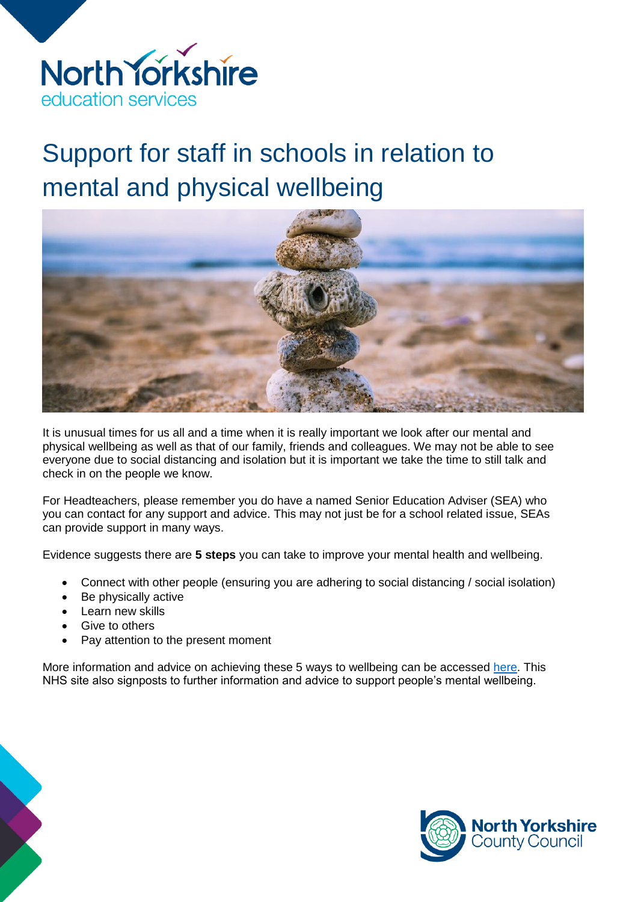

# Support for staff in schools in relation to mental and physical wellbeing



It is unusual times for us all and a time when it is really important we look after our mental and physical wellbeing as well as that of our family, friends and colleagues. We may not be able to see everyone due to social distancing and isolation but it is important we take the time to still talk and check in on the people we know.

For Headteachers, please remember you do have a named Senior Education Adviser (SEA) who you can contact for any support and advice. This may not just be for a school related issue, SEAs can provide support in many ways.

Evidence suggests there are **5 steps** you can take to improve your mental health and wellbeing.

- Connect with other people (ensuring you are adhering to social distancing / social isolation)
- Be physically active
- Learn new skills
- Give to others
- Pay attention to the present moment

More information and advice on achieving these 5 ways to wellbeing can be accessed [here.](https://www.nhs.uk/conditions/stress-anxiety-depression/improve-mental-wellbeing/) This NHS site also signposts to further information and advice to support people's mental wellbeing.

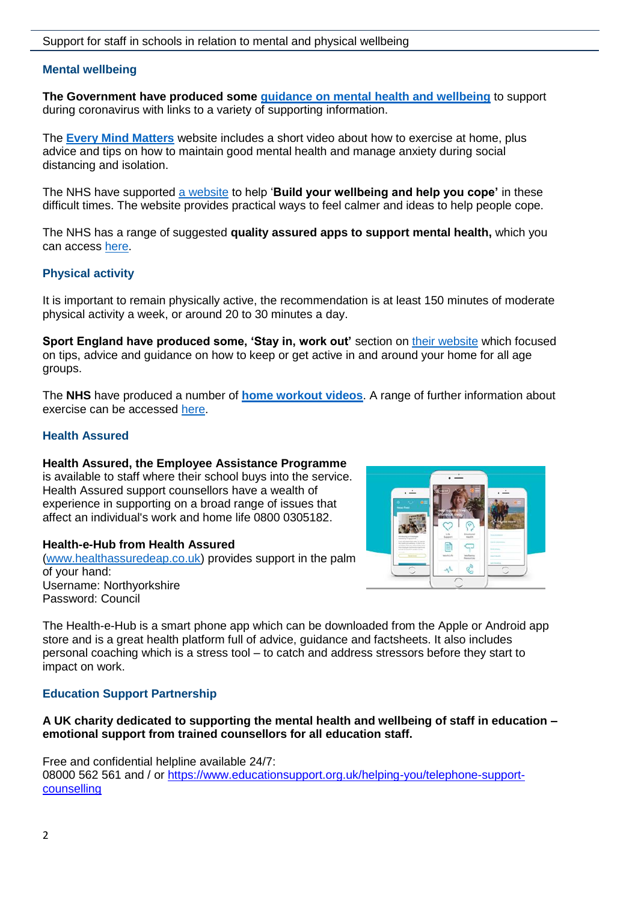### **Mental wellbeing**

**The Government have produced some [guidance on mental health and wellbeing](https://www.gov.uk/government/publications/covid-19-guidance-for-the-public-on-mental-health-and-wellbeing)** to support during coronavirus with links to a variety of supporting information.

The **[Every Mind Matters](https://www.nhs.uk/oneyou/every-mind-matters/)** website includes a short video about how to exercise at home, plus advice and tips on how to maintain good mental health and manage anxiety during social distancing and isolation.

The NHS have supported a [website](http://learn.4mentalhealth.com/) to help '**Build your wellbeing and help you cope'** in these difficult times. The website provides practical ways to feel calmer and ideas to help people cope.

The NHS has a range of suggested **quality assured apps to support mental health,** which you can access [here.](https://www.nhs.uk/apps-library/category/mental-health/)

#### **Physical activity**

It is important to remain physically active, the recommendation is at least 150 minutes of moderate physical activity a week, or around 20 to 30 minutes a day.

**Sport England have produced some, 'Stay in, work out'** section on [their website](https://www.sportengland.org/stayinworkout) which focused on tips, advice and guidance on how to keep or get active in and around your home for all age groups.

The **NHS** have produced a number of **[home workout videos](https://www.nhs.uk/oneyou/for-your-body/move-more/home-workout-videos/)**. A range of further information about exercise can be accessed [here.](https://www.nhs.uk/live-well/exercise/free-fitness-ideas/)

## **Health Assured**

#### **Health Assured, the Employee Assistance Programme**

is available to staff where their school buys into the service. Health Assured support counsellors have a wealth of experience in supporting on a broad range of issues that affect an individual's work and home life 0800 0305182.

#### **Health-e-Hub from Health Assured**

[\(www.healthassuredeap.co.uk\)](http://www.healthassuredeap.co.uk/) provides support in the palm of your hand: Username: Northyorkshire Password: Council



The Health-e-Hub is a smart phone app which can be downloaded from the Apple or Android app store and is a great health platform full of advice, guidance and factsheets. It also includes personal coaching which is a stress tool – to catch and address stressors before they start to impact on work.

#### **Education Support Partnership**

**A UK charity dedicated to supporting the mental health and wellbeing of staff in education – emotional support from trained counsellors for all education staff.** 

Free and confidential helpline available 24/7: 08000 562 561 and / or [https://www.educationsupport.org.uk/helping-you/telephone-support](https://www.educationsupport.org.uk/helping-you/telephone-support-counselling)[counselling](https://www.educationsupport.org.uk/helping-you/telephone-support-counselling)